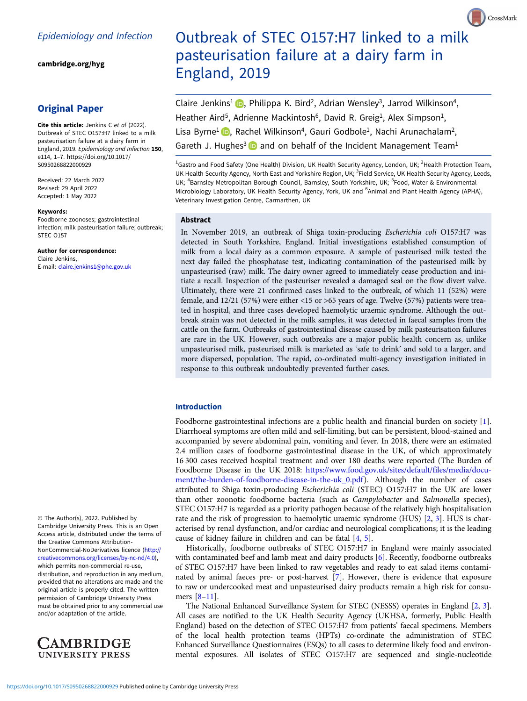[cambridge.org/hyg](https://www.cambridge.org/hyg)

## Original Paper

Cite this article: Jenkins C et al (2022). Outbreak of STEC O157:H7 linked to a milk pasteurisation failure at a dairy farm in England, 2019. Epidemiology and Infection 150, e114, 1–7. [https://doi.org/10.1017/](https://doi.org/10.1017/S0950268822000929) [S0950268822000929](https://doi.org/10.1017/S0950268822000929)

Received: 22 March 2022 Revised: 29 April 2022 Accepted: 1 May 2022

#### Keywords:

Foodborne zoonoses; gastrointestinal infection; milk pasteurisation failure; outbreak; STEC O157

Author for correspondence: Claire Jenkins, E-mail: [claire.jenkins1@phe.gov.uk](mailto:claire.jenkins1@phe.gov.uk)

© The Author(s), 2022. Published by Cambridge University Press. This is an Open Access article, distributed under the terms of the Creative Commons Attribution-NonCommercial-NoDerivatives licence [\(http://](http://creativecommons.org/licenses/by-nc-nd/4.0) [creativecommons.org/licenses/by-nc-nd/4.0](http://creativecommons.org/licenses/by-nc-nd/4.0)), which permits non-commercial re-use, distribution, and reproduction in any medium, provided that no alterations are made and the original article is properly cited. The written permission of Cambridge University Press must be obtained prior to any commercial use and/or adaptation of the article.



# Outbreak of STEC O157:H7 linked to a milk pasteurisation failure at a dairy farm in England, 2019

CrossMark

Claire Jenkins<sup>1</sup> (D<sub>[,](https://orcid.org/0000-0001-8600-9169)</sub> Philippa K. Bird<sup>2</sup>, Adrian Wensley<sup>3</sup>, Jarrod Wilkinson<sup>4</sup>, Heather Aird<sup>5</sup>, Adrienne Mackintosh<sup>6</sup>, David R. Greig<sup>1</sup>, Alex Simpson<sup>1</sup>, Lisa Byrne<sup>1</sup> **D**[,](https://orcid.org/0000-0001-5320-2085) Rachel Wilkinson<sup>4</sup>, Gauri Godbole<sup>1</sup>, Nachi Arunachalam<sup>2</sup>, Gareth J. Hughes<sup>3</sup> and on behalf of the Incident Management Team<sup>1</sup>

<sup>1</sup>Gastro and Food Safety (One Health) Division, UK Health Security Agency, London, UK; <sup>2</sup>Health Protection Team, UK Health Security Agency, North East and Yorkshire Region, UK; <sup>3</sup>Field Service, UK Health Security Agency, Leeds, UK; <sup>4</sup>Barnsley Metropolitan Borough Council, Barnsley, South Yorkshire, UK; <sup>5</sup>Food, Water & Environmental Microbiology Laboratory, UK Health Security Agency, York, UK and <sup>6</sup>Animal and Plant Health Agency (APHA), Veterinary Investigation Centre, Carmarthen, UK

## Abstract

In November 2019, an outbreak of Shiga toxin-producing Escherichia coli O157:H7 was detected in South Yorkshire, England. Initial investigations established consumption of milk from a local dairy as a common exposure. A sample of pasteurised milk tested the next day failed the phosphatase test, indicating contamination of the pasteurised milk by unpasteurised (raw) milk. The dairy owner agreed to immediately cease production and initiate a recall. Inspection of the pasteuriser revealed a damaged seal on the flow divert valve. Ultimately, there were 21 confirmed cases linked to the outbreak, of which 11 (52%) were female, and 12/21 (57%) were either <15 or >65 years of age. Twelve (57%) patients were treated in hospital, and three cases developed haemolytic uraemic syndrome. Although the outbreak strain was not detected in the milk samples, it was detected in faecal samples from the cattle on the farm. Outbreaks of gastrointestinal disease caused by milk pasteurisation failures are rare in the UK. However, such outbreaks are a major public health concern as, unlike unpasteurised milk, pasteurised milk is marketed as 'safe to drink' and sold to a larger, and more dispersed, population. The rapid, co-ordinated multi-agency investigation initiated in response to this outbreak undoubtedly prevented further cases.

## Introduction

Foodborne gastrointestinal infections are a public health and financial burden on society [[1](#page-5-0)]. Diarrhoeal symptoms are often mild and self-limiting, but can be persistent, blood-stained and accompanied by severe abdominal pain, vomiting and fever. In 2018, there were an estimated 2.4 million cases of foodborne gastrointestinal disease in the UK, of which approximately 16 300 cases received hospital treatment and over 180 deaths were reported (The Burden of Foodborne Disease in the UK 2018: [https://www.food.gov.uk/sites/default/files/media/docu](https://www.food.gov.uk/sites/default/files/media/document/the-burden-of-foodborne-disease-in-the-uk_0.pdf)[ment/the-burden-of-foodborne-disease-in-the-uk\\_0.pdf](https://www.food.gov.uk/sites/default/files/media/document/the-burden-of-foodborne-disease-in-the-uk_0.pdf)). Although the number of cases attributed to Shiga toxin-producing Escherichia coli (STEC) O157:H7 in the UK are lower than other zoonotic foodborne bacteria (such as *Campylobacter* and *Salmonella* species), STEC O157:H7 is regarded as a priority pathogen because of the relatively high hospitalisation rate and the risk of progression to haemolytic uraemic syndrome (HUS) [[2](#page-5-0), [3\]](#page-5-0). HUS is characterised by renal dysfunction, and/or cardiac and neurological complications; it is the leading cause of kidney failure in children and can be fatal [\[4,](#page-5-0) [5](#page-5-0)].

Historically, foodborne outbreaks of STEC O157:H7 in England were mainly associated with contaminated beef and lamb meat and dairy products [[6](#page-5-0)]. Recently, foodborne outbreaks of STEC O157:H7 have been linked to raw vegetables and ready to eat salad items contaminated by animal faeces pre- or post-harvest [\[7\]](#page-5-0). However, there is evidence that exposure to raw or undercooked meat and unpasteurised dairy products remain a high risk for consumers [\[8](#page-5-0)–[11](#page-5-0)].

The National Enhanced Surveillance System for STEC (NESSS) operates in England [\[2,](#page-5-0) [3](#page-5-0)]. All cases are notified to the UK Health Security Agency (UKHSA, formerly, Public Health England) based on the detection of STEC O157:H7 from patients' faecal specimens. Members of the local health protection teams (HPTs) co-ordinate the administration of STEC Enhanced Surveillance Questionnaires (ESQs) to all cases to determine likely food and environmental exposures. All isolates of STEC O157:H7 are sequenced and single-nucleotide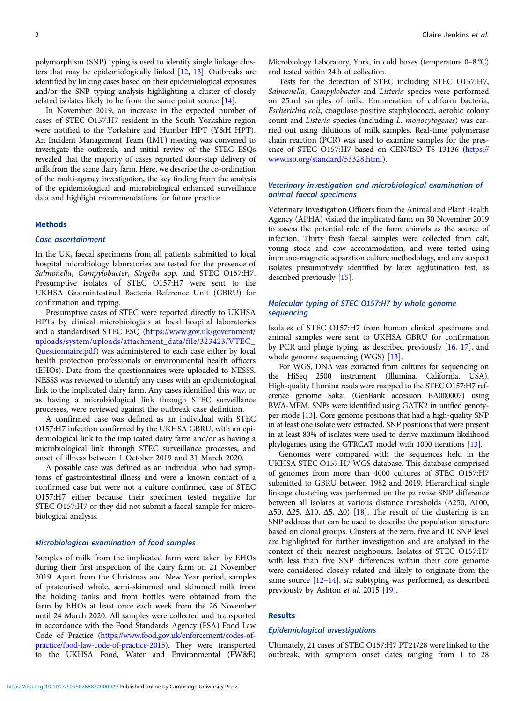polymorphism (SNP) typing is used to identify single linkage clusters that may be epidemiologically linked [\[12,](#page-5-0) [13](#page-5-0)]. Outbreaks are identified by linking cases based on their epidemiological exposures and/or the SNP typing analysis highlighting a cluster of closely related isolates likely to be from the same point source [[14](#page-5-0)].

In November 2019, an increase in the expected number of cases of STEC O157:H7 resident in the South Yorkshire region were notified to the Yorkshire and Humber HPT (Y&H HPT). An Incident Management Team (IMT) meeting was convened to investigate the outbreak, and initial review of the STEC ESQs revealed that the majority of cases reported door-step delivery of milk from the same dairy farm. Here, we describe the co-ordination of the multi-agency investigation, the key finding from the analysis of the epidemiological and microbiological enhanced surveillance data and highlight recommendations for future practice.

## **Methods**

#### Case ascertainment

In the UK, faecal specimens from all patients submitted to local hospital microbiology laboratories are tested for the presence of Salmonella, Campylobacter, Shigella spp. and STEC O157:H7. Presumptive isolates of STEC O157:H7 were sent to the UKHSA Gastrointestinal Bacteria Reference Unit (GBRU) for confirmation and typing.

Presumptive cases of STEC were reported directly to UKHSA HPTs by clinical microbiologists at local hospital laboratories and a standardised STEC ESQ ([https://www.gov.uk/government/](https://www.gov.uk/government/uploads/system/uploads/attachment_data/file/323423/VTEC_Questionnaire.pdf) [uploads/system/uploads/attachment\\_data/file/323423/VTEC\\_](https://www.gov.uk/government/uploads/system/uploads/attachment_data/file/323423/VTEC_Questionnaire.pdf) [Questionnaire.pdf](https://www.gov.uk/government/uploads/system/uploads/attachment_data/file/323423/VTEC_Questionnaire.pdf)) was administered to each case either by local health protection professionals or environmental health officers (EHOs). Data from the questionnaires were uploaded to NESSS. NESSS was reviewed to identify any cases with an epidemiological link to the implicated dairy farm. Any cases identified this way, or as having a microbiological link through STEC surveillance processes, were reviewed against the outbreak case definition.

A confirmed case was defined as an individual with STEC O157:H7 infection confirmed by the UKHSA GBRU, with an epidemiological link to the implicated dairy farm and/or as having a microbiological link through STEC surveillance processes, and onset of illness between 1 October 2019 and 31 March 2020.

A possible case was defined as an individual who had symptoms of gastrointestinal illness and were a known contact of a confirmed case but were not a culture confirmed case of STEC O157:H7 either because their specimen tested negative for STEC O157:H7 or they did not submit a faecal sample for microbiological analysis.

## Microbiological examination of food samples

Samples of milk from the implicated farm were taken by EHOs during their first inspection of the dairy farm on 21 November 2019. Apart from the Christmas and New Year period, samples of pasteurised whole, semi-skimmed and skimmed milk from the holding tanks and from bottles were obtained from the farm by EHOs at least once each week from the 26 November until 24 March 2020. All samples were collected and transported in accordance with the Food Standards Agency (FSA) Food Law Code of Practice ([https://www.food.gov.uk/enforcement/codes-of](https://www.food.gov.uk/enforcement/codes-of-practice/food-law-code-of-practice-2015)[practice/food-law-code-of-practice-2015\)](https://www.food.gov.uk/enforcement/codes-of-practice/food-law-code-of-practice-2015). They were transported to the UKHSA Food, Water and Environmental (FW&E)

Microbiology Laboratory, York, in cold boxes (temperature 0–8 °C) and tested within 24 h of collection.

Tests for the detection of STEC including STEC O157:H7, Salmonella, Campylobacter and Listeria species were performed on 25 ml samples of milk. Enumeration of coliform bacteria, Escherichia coli, coagulase-positive staphylococci, aerobic colony count and Listeria species (including L. monocytogenes) was carried out using dilutions of milk samples. Real-time polymerase chain reaction (PCR) was used to examine samples for the presence of STEC O157:H7 based on CEN/ISO TS 13136 [\(https://](https://www.iso.org/standard/53328.html) [www.iso.org/standard/53328.html](https://www.iso.org/standard/53328.html)).

## Veterinary investigation and microbiological examination of animal faecal specimens

Veterinary Investigation Officers from the Animal and Plant Health Agency (APHA) visited the implicated farm on 30 November 2019 to assess the potential role of the farm animals as the source of infection. Thirty fresh faecal samples were collected from calf, young stock and cow accommodation, and were tested using immuno-magnetic separation culture methodology, and any suspect isolates presumptively identified by latex agglutination test, as described previously [\[15](#page-5-0)].

## Molecular typing of STEC O157:H7 by whole genome sequencing

Isolates of STEC O157:H7 from human clinical specimens and animal samples were sent to UKHSA GBRU for confirmation by PCR and phage typing, as described previously [\[16](#page-6-0), [17\]](#page-6-0), and whole genome sequencing (WGS) [\[13](#page-5-0)].

For WGS, DNA was extracted from cultures for sequencing on the HiSeq 2500 instrument (Illumina, California, USA). High-quality Illumina reads were mapped to the STEC O157:H7 reference genome Sakai (GenBank accession BA000007) using BWA-MEM. SNPs were identified using GATK2 in unified genotyper mode [[13](#page-5-0)]. Core genome positions that had a high-quality SNP in at least one isolate were extracted. SNP positions that were present in at least 80% of isolates were used to derive maximum likelihood phylogenies using the GTRCAT model with 1000 iterations [\[13](#page-5-0)].

Genomes were compared with the sequences held in the UKHSA STEC O157:H7 WGS database. This database comprised of genomes from more than 4000 cultures of STEC O157:H7 submitted to GBRU between 1982 and 2019. Hierarchical single linkage clustering was performed on the pairwise SNP difference between all isolates at various distance thresholds (Δ250, Δ100, Δ50, Δ25, Δ10, Δ5, Δ0) [[18](#page-6-0)]. The result of the clustering is an SNP address that can be used to describe the population structure based on clonal groups. Clusters at the zero, five and 10 SNP level are highlighted for further investigation and are analysed in the context of their nearest neighbours. Isolates of STEC O157:H7 with less than five SNP differences within their core genome were considered closely related and likely to originate from the same source  $[12-14]$  $[12-14]$  $[12-14]$  $[12-14]$  $[12-14]$ . stx subtyping was performed, as described previously by Ashton et al. 2015 [\[19\]](#page-6-0).

#### Results

## Epidemiological investigations

Ultimately, 21 cases of STEC O157:H7 PT21/28 were linked to the outbreak, with symptom onset dates ranging from 1 to 28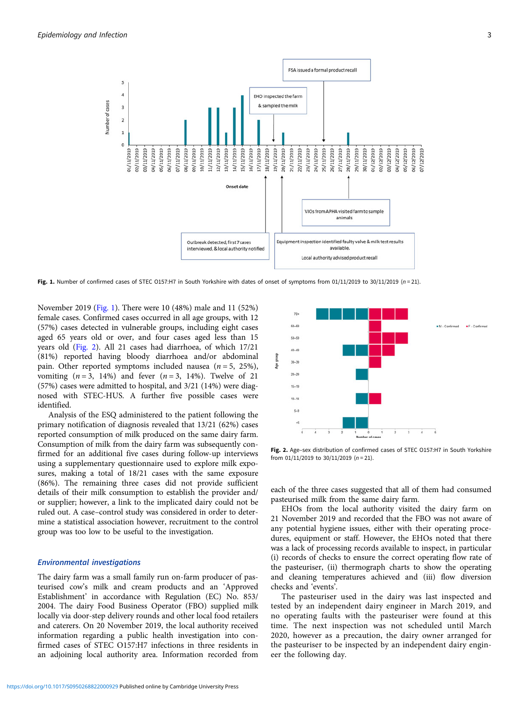

Fig. 1. Number of confirmed cases of STEC O157:H7 in South Yorkshire with dates of onset of symptoms from 01/11/2019 to 30/11/2019 (n = 21).

November 2019 (Fig. 1). There were 10 (48%) male and 11 (52%) female cases. Confirmed cases occurred in all age groups, with 12 (57%) cases detected in vulnerable groups, including eight cases aged 65 years old or over, and four cases aged less than 15 years old (Fig. 2). All 21 cases had diarrhoea, of which 17/21 (81%) reported having bloody diarrhoea and/or abdominal pain. Other reported symptoms included nausea  $(n = 5, 25\%)$ , vomiting  $(n=3, 14\%)$  and fever  $(n=3, 14\%)$ . Twelve of 21 (57%) cases were admitted to hospital, and 3/21 (14%) were diagnosed with STEC-HUS. A further five possible cases were identified.

Analysis of the ESQ administered to the patient following the primary notification of diagnosis revealed that 13/21 (62%) cases reported consumption of milk produced on the same dairy farm. Consumption of milk from the dairy farm was subsequently confirmed for an additional five cases during follow-up interviews using a supplementary questionnaire used to explore milk exposures, making a total of 18/21 cases with the same exposure (86%). The remaining three cases did not provide sufficient details of their milk consumption to establish the provider and/ or supplier; however, a link to the implicated dairy could not be ruled out. A case–control study was considered in order to determine a statistical association however, recruitment to the control group was too low to be useful to the investigation.

#### Environmental investigations

The dairy farm was a small family run on-farm producer of pasteurised cow's milk and cream products and an 'Approved Establishment' in accordance with Regulation (EC) No. 853/ 2004. The dairy Food Business Operator (FBO) supplied milk locally via door-step delivery rounds and other local food retailers and caterers. On 20 November 2019, the local authority received information regarding a public health investigation into confirmed cases of STEC O157:H7 infections in three residents in an adjoining local authority area. Information recorded from



Fig. 2. Age-sex distribution of confirmed cases of STEC 0157:H7 in South Yorkshire from 01/11/2019 to 30/11/2019 ( $n = 21$ ).

each of the three cases suggested that all of them had consumed pasteurised milk from the same dairy farm.

EHOs from the local authority visited the dairy farm on 21 November 2019 and recorded that the FBO was not aware of any potential hygiene issues, either with their operating procedures, equipment or staff. However, the EHOs noted that there was a lack of processing records available to inspect, in particular (i) records of checks to ensure the correct operating flow rate of the pasteuriser, (ii) thermograph charts to show the operating and cleaning temperatures achieved and (iii) flow diversion checks and 'events'.

The pasteuriser used in the dairy was last inspected and tested by an independent dairy engineer in March 2019, and no operating faults with the pasteuriser were found at this time. The next inspection was not scheduled until March 2020, however as a precaution, the dairy owner arranged for the pasteuriser to be inspected by an independent dairy engineer the following day.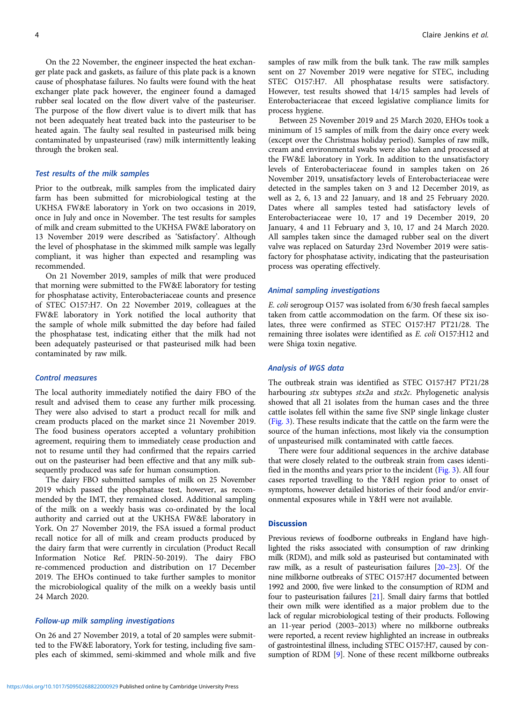On the 22 November, the engineer inspected the heat exchanger plate pack and gaskets, as failure of this plate pack is a known cause of phosphatase failures. No faults were found with the heat exchanger plate pack however, the engineer found a damaged rubber seal located on the flow divert valve of the pasteuriser. The purpose of the flow divert value is to divert milk that has not been adequately heat treated back into the pasteuriser to be heated again. The faulty seal resulted in pasteurised milk being contaminated by unpasteurised (raw) milk intermittently leaking through the broken seal.

#### Test results of the milk samples

Prior to the outbreak, milk samples from the implicated dairy farm has been submitted for microbiological testing at the UKHSA FW&E laboratory in York on two occasions in 2019, once in July and once in November. The test results for samples of milk and cream submitted to the UKHSA FW&E laboratory on 13 November 2019 were described as 'Satisfactory'. Although the level of phosphatase in the skimmed milk sample was legally compliant, it was higher than expected and resampling was recommended.

On 21 November 2019, samples of milk that were produced that morning were submitted to the FW&E laboratory for testing for phosphatase activity, Enterobacteriaceae counts and presence of STEC O157:H7. On 22 November 2019, colleagues at the FW&E laboratory in York notified the local authority that the sample of whole milk submitted the day before had failed the phosphatase test, indicating either that the milk had not been adequately pasteurised or that pasteurised milk had been contaminated by raw milk.

#### Control measures

The local authority immediately notified the dairy FBO of the result and advised them to cease any further milk processing. They were also advised to start a product recall for milk and cream products placed on the market since 21 November 2019. The food business operators accepted a voluntary prohibition agreement, requiring them to immediately cease production and not to resume until they had confirmed that the repairs carried out on the pasteuriser had been effective and that any milk subsequently produced was safe for human consumption.

The dairy FBO submitted samples of milk on 25 November 2019 which passed the phosphatase test, however, as recommended by the IMT, they remained closed. Additional sampling of the milk on a weekly basis was co-ordinated by the local authority and carried out at the UKHSA FW&E laboratory in York. On 27 November 2019, the FSA issued a formal product recall notice for all of milk and cream products produced by the dairy farm that were currently in circulation (Product Recall Information Notice Ref. PRIN-50-2019). The dairy FBO re-commenced production and distribution on 17 December 2019. The EHOs continued to take further samples to monitor the microbiological quality of the milk on a weekly basis until 24 March 2020.

#### Follow-up milk sampling investigations

On 26 and 27 November 2019, a total of 20 samples were submitted to the FW&E laboratory, York for testing, including five samples each of skimmed, semi-skimmed and whole milk and five

samples of raw milk from the bulk tank. The raw milk samples sent on 27 November 2019 were negative for STEC, including STEC O157:H7. All phosphatase results were satisfactory. However, test results showed that 14/15 samples had levels of Enterobacteriaceae that exceed legislative compliance limits for process hygiene.

Between 25 November 2019 and 25 March 2020, EHOs took a minimum of 15 samples of milk from the dairy once every week (except over the Christmas holiday period). Samples of raw milk, cream and environmental swabs were also taken and processed at the FW&E laboratory in York. In addition to the unsatisfactory levels of Enterobacteriaceae found in samples taken on 26 November 2019, unsatisfactory levels of Enterobacteriaceae were detected in the samples taken on 3 and 12 December 2019, as well as 2, 6, 13 and 22 January, and 18 and 25 February 2020. Dates where all samples tested had satisfactory levels of Enterobacteriaceae were 10, 17 and 19 December 2019, 20 January, 4 and 11 February and 3, 10, 17 and 24 March 2020. All samples taken since the damaged rubber seal on the divert valve was replaced on Saturday 23rd November 2019 were satisfactory for phosphatase activity, indicating that the pasteurisation process was operating effectively.

#### Animal sampling investigations

E. coli serogroup O157 was isolated from 6/30 fresh faecal samples taken from cattle accommodation on the farm. Of these six isolates, three were confirmed as STEC O157:H7 PT21/28. The remaining three isolates were identified as E. coli O157:H12 and were Shiga toxin negative.

#### Analysis of WGS data

The outbreak strain was identified as STEC O157:H7 PT21/28 harbouring stx subtypes stx2a and stx2c. Phylogenetic analysis showed that all 21 isolates from the human cases and the three cattle isolates fell within the same five SNP single linkage cluster ([Fig. 3\)](#page-4-0). These results indicate that the cattle on the farm were the source of the human infections, most likely via the consumption of unpasteurised milk contaminated with cattle faeces.

There were four additional sequences in the archive database that were closely related to the outbreak strain from cases identified in the months and years prior to the incident [\(Fig. 3\)](#page-4-0). All four cases reported travelling to the Y&H region prior to onset of symptoms, however detailed histories of their food and/or environmental exposures while in Y&H were not available.

## **Discussion**

Previous reviews of foodborne outbreaks in England have highlighted the risks associated with consumption of raw drinking milk (RDM), and milk sold as pasteurised but contaminated with raw milk, as a result of pasteurisation failures [\[20](#page-6-0)–[23\]](#page-6-0). Of the nine milkborne outbreaks of STEC O157:H7 documented between 1992 and 2000, five were linked to the consumption of RDM and four to pasteurisation failures [\[21\]](#page-6-0). Small dairy farms that bottled their own milk were identified as a major problem due to the lack of regular microbiological testing of their products. Following an 11-year period (2003–2013) where no milkborne outbreaks were reported, a recent review highlighted an increase in outbreaks of gastrointestinal illness, including STEC O157:H7, caused by con-sumption of RDM [\[9\]](#page-5-0). None of these recent milkborne outbreaks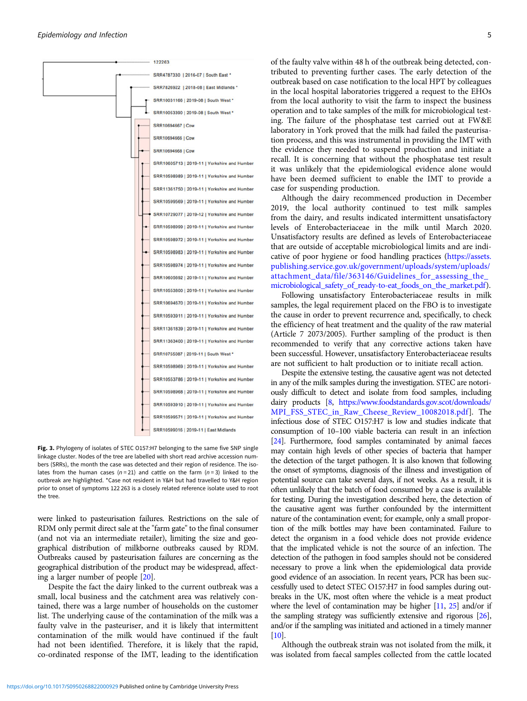<span id="page-4-0"></span>

Fig. 3. Phylogeny of isolates of STEC 0157:H7 belonging to the same five SNP single linkage cluster. Nodes of the tree are labelled with short read archive accession numbers (SRRs), the month the case was detected and their region of residence. The isolates from the human cases ( $n = 21$ ) and cattle on the farm ( $n = 3$ ) linked to the outbreak are highlighted. \*Case not resident in Y&H but had travelled to Y&H region prior to onset of symptoms 122 263 is a closely related reference isolate used to root the tree.

were linked to pasteurisation failures. Restrictions on the sale of RDM only permit direct sale at the "farm gate" to the final consumer (and not via an intermediate retailer), limiting the size and geographical distribution of milkborne outbreaks caused by RDM. Outbreaks caused by pasteurisation failures are concerning as the geographical distribution of the product may be widespread, affecting a larger number of people [[20](#page-6-0)].

Despite the fact the dairy linked to the current outbreak was a small, local business and the catchment area was relatively contained, there was a large number of households on the customer list. The underlying cause of the contamination of the milk was a faulty valve in the pasteuriser, and it is likely that intermittent contamination of the milk would have continued if the fault had not been identified. Therefore, it is likely that the rapid, co-ordinated response of the IMT, leading to the identification of the faulty valve within 48 h of the outbreak being detected, contributed to preventing further cases. The early detection of the outbreak based on case notification to the local HPT by colleagues in the local hospital laboratories triggered a request to the EHOs from the local authority to visit the farm to inspect the business operation and to take samples of the milk for microbiological testing. The failure of the phosphatase test carried out at FW&E laboratory in York proved that the milk had failed the pasteurisation process, and this was instrumental in providing the IMT with the evidence they needed to suspend production and initiate a recall. It is concerning that without the phosphatase test result it was unlikely that the epidemiological evidence alone would have been deemed sufficient to enable the IMT to provide a case for suspending production.

Although the dairy recommenced production in December 2019, the local authority continued to test milk samples from the dairy, and results indicated intermittent unsatisfactory levels of Enterobacteriaceae in the milk until March 2020. Unsatisfactory results are defined as levels of Enterobacteriaceae that are outside of acceptable microbiological limits and are indicative of poor hygiene or food handling practices ([https://assets.](https://assets.publishing.service.gov.uk/government/uploads/system/uploads/attachment_data/file/363146/Guidelines_for_assessing_the_microbiological_safety_of_ready-to-eat_foods_on_the_market.pdf) [publishing.service.gov.uk/government/uploads/system/uploads/](https://assets.publishing.service.gov.uk/government/uploads/system/uploads/attachment_data/file/363146/Guidelines_for_assessing_the_microbiological_safety_of_ready-to-eat_foods_on_the_market.pdf) attachment\_data/file/363146/Guidelines\_for\_assessing\_the microbiological safety of ready-to-eat foods on the market.pdf).

Following unsatisfactory Enterobacteriaceae results in milk samples, the legal requirement placed on the FBO is to investigate the cause in order to prevent recurrence and, specifically, to check the efficiency of heat treatment and the quality of the raw material (Article 7 2073/2005). Further sampling of the product is then recommended to verify that any corrective actions taken have been successful. However, unsatisfactory Enterobacteriaceae results are not sufficient to halt production or to initiate recall action.

Despite the extensive testing, the causative agent was not detected in any of the milk samples during the investigation. STEC are notoriously difficult to detect and isolate from food samples, including dairy products [\[8](#page-5-0), [https://www.foodstandards.gov.scot/downloads/](https://www.foodstandards.gov.scot/downloads/MPI_FSS_STEC_in_Raw_Cheese_Review_10082018.pdf) [MPI\\_FSS\\_STEC\\_in\\_Raw\\_Cheese\\_Review\\_10082018.pdf](https://www.foodstandards.gov.scot/downloads/MPI_FSS_STEC_in_Raw_Cheese_Review_10082018.pdf)]. The infectious dose of STEC O157:H7 is low and studies indicate that consumption of 10–100 viable bacteria can result in an infection [\[24\]](#page-6-0). Furthermore, food samples contaminated by animal faeces may contain high levels of other species of bacteria that hamper the detection of the target pathogen. It is also known that following the onset of symptoms, diagnosis of the illness and investigation of potential source can take several days, if not weeks. As a result, it is often unlikely that the batch of food consumed by a case is available for testing. During the investigation described here, the detection of the causative agent was further confounded by the intermittent nature of the contamination event; for example, only a small proportion of the milk bottles may have been contaminated. Failure to detect the organism in a food vehicle does not provide evidence that the implicated vehicle is not the source of an infection. The detection of the pathogen in food samples should not be considered necessary to prove a link when the epidemiological data provide good evidence of an association. In recent years, PCR has been successfully used to detect STEC O157:H7 in food samples during outbreaks in the UK, most often where the vehicle is a meat product where the level of contamination may be higher [\[11,](#page-5-0) [25](#page-6-0)] and/or if the sampling strategy was sufficiently extensive and rigorous [[26](#page-6-0)], and/or if the sampling was initiated and actioned in a timely manner  $[10]$ 

Although the outbreak strain was not isolated from the milk, it was isolated from faecal samples collected from the cattle located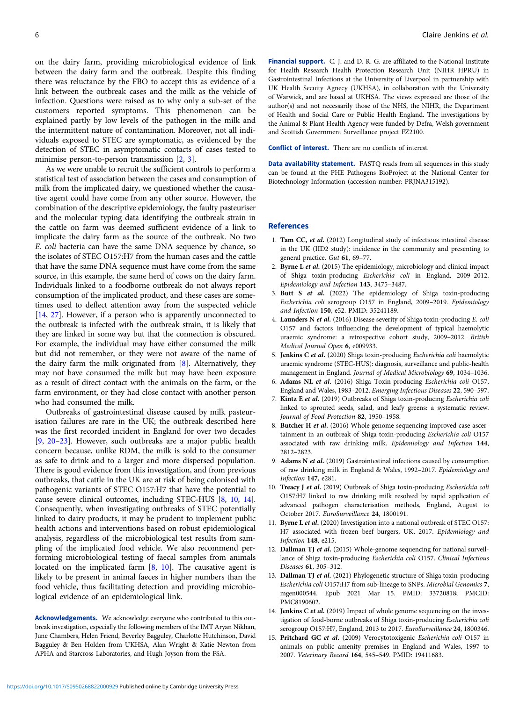<span id="page-5-0"></span>on the dairy farm, providing microbiological evidence of link between the dairy farm and the outbreak. Despite this finding there was reluctance by the FBO to accept this as evidence of a link between the outbreak cases and the milk as the vehicle of infection. Questions were raised as to why only a sub-set of the customers reported symptoms. This phenomenon can be explained partly by low levels of the pathogen in the milk and the intermittent nature of contamination. Moreover, not all individuals exposed to STEC are symptomatic, as evidenced by the detection of STEC in asymptomatic contacts of cases tested to minimise person-to-person transmission [2, 3].

As we were unable to recruit the sufficient controls to perform a statistical test of association between the cases and consumption of milk from the implicated dairy, we questioned whether the causative agent could have come from any other source. However, the combination of the descriptive epidemiology, the faulty pasteuriser and the molecular typing data identifying the outbreak strain in the cattle on farm was deemed sufficient evidence of a link to implicate the dairy farm as the source of the outbreak. No two E. coli bacteria can have the same DNA sequence by chance, so the isolates of STEC O157:H7 from the human cases and the cattle that have the same DNA sequence must have come from the same source, in this example, the same herd of cows on the dairy farm. Individuals linked to a foodborne outbreak do not always report consumption of the implicated product, and these cases are sometimes used to deflect attention away from the suspected vehicle [14, [27](#page-6-0)]. However, if a person who is apparently unconnected to the outbreak is infected with the outbreak strain, it is likely that they are linked in some way but that the connection is obscured. For example, the individual may have either consumed the milk but did not remember, or they were not aware of the name of the dairy farm the milk originated from [8]. Alternatively, they may not have consumed the milk but may have been exposure as a result of direct contact with the animals on the farm, or the farm environment, or they had close contact with another person who had consumed the milk.

Outbreaks of gastrointestinal disease caused by milk pasteurisation failures are rare in the UK; the outbreak described here was the first recorded incident in England for over two decades [9, [20](#page-6-0)–[23\]](#page-6-0). However, such outbreaks are a major public health concern because, unlike RDM, the milk is sold to the consumer as safe to drink and to a larger and more dispersed population. There is good evidence from this investigation, and from previous outbreaks, that cattle in the UK are at risk of being colonised with pathogenic variants of STEC O157:H7 that have the potential to cause severe clinical outcomes, including STEC-HUS [8, 10, 14]. Consequently, when investigating outbreaks of STEC potentially linked to dairy products, it may be prudent to implement public health actions and interventions based on robust epidemiological analysis, regardless of the microbiological test results from sampling of the implicated food vehicle. We also recommend performing microbiological testing of faecal samples from animals located on the implicated farm [8, 10]. The causative agent is likely to be present in animal faeces in higher numbers than the food vehicle, thus facilitating detection and providing microbiological evidence of an epidemiological link.

Acknowledgements. We acknowledge everyone who contributed to this outbreak investigation, especially the following members of the IMT Aryan Nikhan, June Chambers, Helen Friend, Beverley Bagguley, Charlotte Hutchinson, David Bagguley & Ben Holden from UKHSA, Alan Wright & Katie Newton from APHA and Starcross Laboratories, and Hugh Joyson from the FSA.

Financial support. C. J. and D. R. G. are affiliated to the National Institute for Health Research Health Protection Research Unit (NIHR HPRU) in Gastrointestinal Infections at the University of Liverpool in partnership with UK Health Secuity Agnecy (UKHSA), in collaboration with the University of Warwick, and are based at UKHSA. The views expressed are those of the author(s) and not necessarily those of the NHS, the NIHR, the Department of Health and Social Care or Public Health England. The investigations by the Animal & Plant Health Agency were funded by Defra, Welsh government and Scottish Government Surveillance project FZ2100.

Conflict of interest. There are no conflicts of interest.

Data availability statement. FASTQ reads from all sequences in this study can be found at the PHE Pathogens BioProject at the National Center for Biotechnology Information (accession number: PRJNA315192).

#### References

- 1. Tam CC, et al. (2012) Longitudinal study of infectious intestinal disease in the UK (IID2 study): incidence in the community and presenting to general practice. Gut 61, 69–77.
- 2. Byrne L et al. (2015) The epidemiology, microbiology and clinical impact of Shiga toxin-producing Escherichia coli in England, 2009–2012. Epidemiology and Infection 143, 3475–3487.
- 3. Butt S et al. (2022) The epidemiology of Shiga toxin-producing Escherichia coli serogroup O157 in England, 2009–2019. Epidemiology and Infection 150, e52. PMID: 35241189.
- 4. Launders N et al. (2016) Disease severity of Shiga toxin-producing E. coli O157 and factors influencing the development of typical haemolytic uraemic syndrome: a retrospective cohort study, 2009–2012. British Medical Journal Open 6, e009933.
- 5. Jenkins C et al. (2020) Shiga toxin-producing Escherichia coli haemolytic uraemic syndrome (STEC-HUS): diagnosis, surveillance and public-health management in England. Journal of Medical Microbiology 69, 1034–1036.
- 6. Adams NL et al. (2016) Shiga Toxin-producing Escherichia coli O157, England and Wales, 1983–2012. Emerging Infectious Diseases 22, 590–597.
- 7. Kintz E et al. (2019) Outbreaks of Shiga toxin-producing Escherichia coli linked to sprouted seeds, salad, and leafy greens: a systematic review. Journal of Food Protection 82, 1950–1958.
- 8. Butcher H et al. (2016) Whole genome sequencing improved case ascertainment in an outbreak of Shiga toxin-producing Escherichia coli O157 associated with raw drinking milk. Epidemiology and Infection 144, 2812–2823.
- 9. Adams N et al. (2019) Gastrointestinal infections caused by consumption of raw drinking milk in England & Wales, 1992–2017. Epidemiology and Infection 147, e281.
- 10. Treacy J et al. (2019) Outbreak of Shiga toxin-producing Escherichia coli O157:H7 linked to raw drinking milk resolved by rapid application of advanced pathogen characterisation methods, England, August to October 2017. EuroSurveillance 24, 1800191.
- 11. Byrne L et al. (2020) Investigation into a national outbreak of STEC O157: H7 associated with frozen beef burgers, UK, 2017. Epidemiology and Infection 148, e215.
- 12. Dallman TJ et al. (2015) Whole-genome sequencing for national surveillance of Shiga toxin-producing Escherichia coli O157. Clinical Infectious Diseases 61, 305–312.
- 13. Dallman TJ et al. (2021) Phylogenetic structure of Shiga toxin-producing Escherichia coli O157:H7 from sub-lineage to SNPs. Microbial Genomics 7, mgen000544. Epub 2021 Mar 15. PMID: 33720818; PMCID: PMC8190602.
- 14. **Jenkins C et al.** (2019) Impact of whole genome sequencing on the investigation of food-borne outbreaks of Shiga toxin-producing Escherichia coli serogroup O157:H7, England, 2013 to 2017. EuroSurveillance 24, 1800346.
- 15. Pritchard GC et al. (2009) Verocytotoxigenic Escherichia coli O157 in animals on public amenity premises in England and Wales, 1997 to 2007. Veterinary Record 164, 545–549. PMID: 19411683.